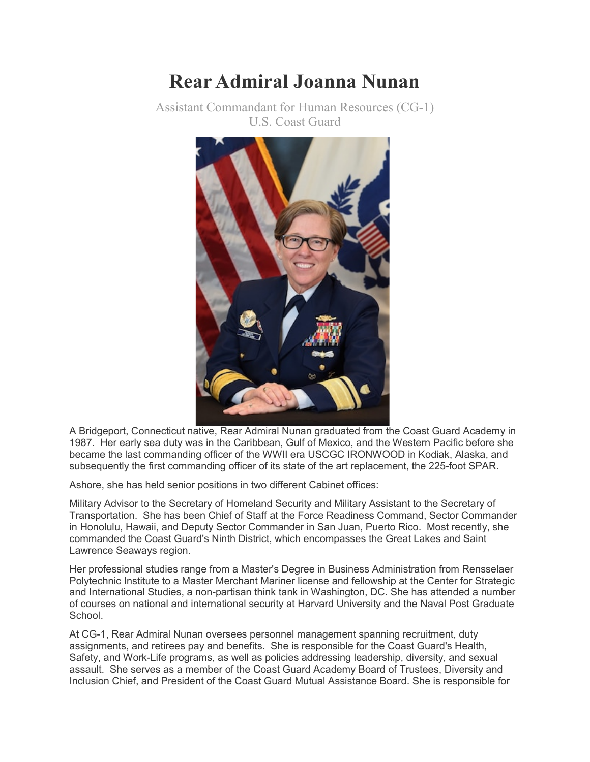## **Rear Admiral Joanna Nunan**

Assistant Commandant for Human Resources (CG-1) U.S. Coast Guard



A Bridgeport, Connecticut native, Rear Admiral Nunan graduated from the Coast Guard Academy in 1987. Her early sea duty was in the Caribbean, Gulf of Mexico, and the Western Pacific before she became the last commanding officer of the WWII era USCGC IRONWOOD in Kodiak, Alaska, and subsequently the first commanding officer of its state of the art replacement, the 225-foot SPAR.

Ashore, she has held senior positions in two different Cabinet offices:

Military Advisor to the Secretary of Homeland Security and Military Assistant to the Secretary of Transportation. She has been Chief of Staff at the Force Readiness Command, Sector Commander in Honolulu, Hawaii, and Deputy Sector Commander in San Juan, Puerto Rico. Most recently, she commanded the Coast Guard's Ninth District, which encompasses the Great Lakes and Saint Lawrence Seaways region.

Her professional studies range from a Master's Degree in Business Administration from Rensselaer Polytechnic Institute to a Master Merchant Mariner license and fellowship at the Center for Strategic and International Studies, a non-partisan think tank in Washington, DC. She has attended a number of courses on national and international security at Harvard University and the Naval Post Graduate School.

At CG-1, Rear Admiral Nunan oversees personnel management spanning recruitment, duty assignments, and retirees pay and benefits. She is responsible for the Coast Guard's Health, Safety, and Work-Life programs, as well as policies addressing leadership, diversity, and sexual assault. She serves as a member of the Coast Guard Academy Board of Trustees, Diversity and Inclusion Chief, and President of the Coast Guard Mutual Assistance Board. She is responsible for